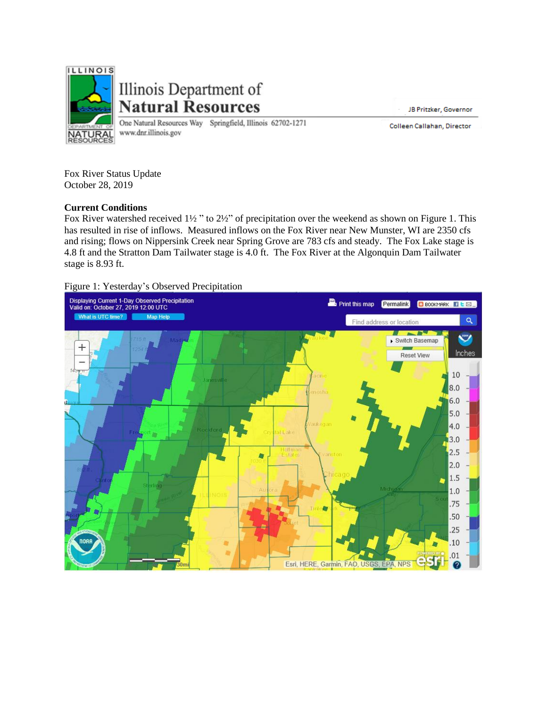

Illinois Department of **Natural Resources** 

One Natural Resources Way Springfield, Illinois 62702-1271 www.dnr.illinois.gov

JB Pritzker, Governor

Colleen Callahan, Director

Fox River Status Update October 28, 2019

## **Current Conditions**

Fox River watershed received 1½ " to 2½" of precipitation over the weekend as shown on Figure 1. This has resulted in rise of inflows. Measured inflows on the Fox River near New Munster, WI are 2350 cfs and rising; flows on Nippersink Creek near Spring Grove are 783 cfs and steady. The Fox Lake stage is 4.8 ft and the Stratton Dam Tailwater stage is 4.0 ft. The Fox River at the Algonquin Dam Tailwater stage is 8.93 ft.

## Figure 1: Yesterday's Observed Precipitation